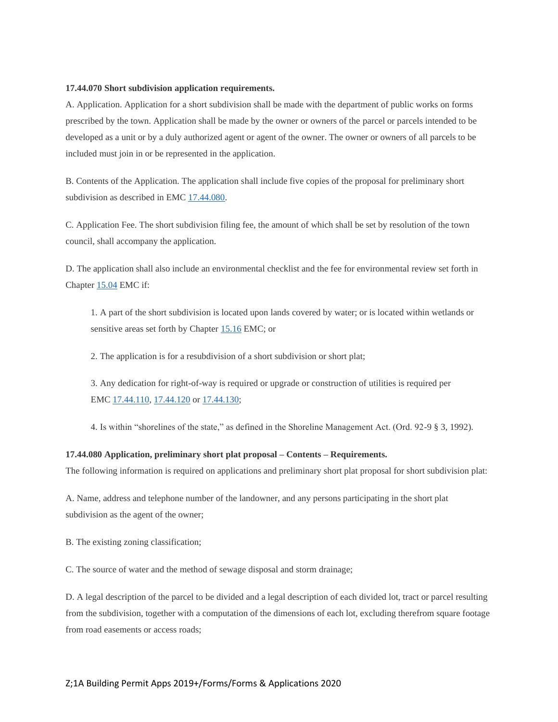## **17.44.070 Short subdivision application requirements.**

A. Application. Application for a short subdivision shall be made with the department of public works on forms prescribed by the town. Application shall be made by the owner or owners of the parcel or parcels intended to be developed as a unit or by a duly authorized agent or agent of the owner. The owner or owners of all parcels to be included must join in or be represented in the application.

B. Contents of the Application. The application shall include five copies of the proposal for preliminary short subdivision as described in EMC [17.44.080.](https://www.codepublishing.com/WA/Eatonville/#!/Eatonville17/Eatonville1744.html#17.44.080)

C. Application Fee. The short subdivision filing fee, the amount of which shall be set by resolution of the town council, shall accompany the application.

D. The application shall also include an environmental checklist and the fee for environmental review set forth in Chapter [15.04](https://www.codepublishing.com/WA/Eatonville/#!/Eatonville15/Eatonville1504.html#15.04) EMC if:

1. A part of the short subdivision is located upon lands covered by water; or is located within wetlands or sensitive areas set forth by Chapter [15.16](https://www.codepublishing.com/WA/Eatonville/#!/Eatonville15/Eatonville1516.html#15.16) EMC; or

2. The application is for a resubdivision of a short subdivision or short plat;

3. Any dedication for right-of-way is required or upgrade or construction of utilities is required per EMC [17.44.110,](https://www.codepublishing.com/WA/Eatonville/#!/Eatonville17/Eatonville1744.html#17.44.110) [17.44.120](https://www.codepublishing.com/WA/Eatonville/#!/Eatonville17/Eatonville1744.html#17.44.120) or [17.44.130;](https://www.codepublishing.com/WA/Eatonville/#!/Eatonville17/Eatonville1744.html#17.44.130)

4. Is within "shorelines of the state," as defined in the Shoreline Management Act. (Ord. 92-9 § 3, 1992).

## **17.44.080 Application, preliminary short plat proposal – Contents – Requirements.**

The following information is required on applications and preliminary short plat proposal for short subdivision plat:

A. Name, address and telephone number of the landowner, and any persons participating in the short plat subdivision as the agent of the owner;

B. The existing zoning classification;

C. The source of water and the method of sewage disposal and storm drainage;

D. A legal description of the parcel to be divided and a legal description of each divided lot, tract or parcel resulting from the subdivision, together with a computation of the dimensions of each lot, excluding therefrom square footage from road easements or access roads;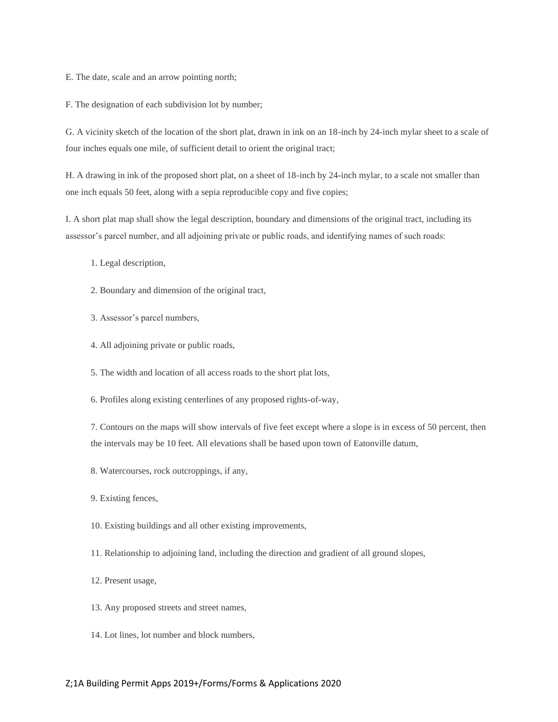E. The date, scale and an arrow pointing north;

F. The designation of each subdivision lot by number;

G. A vicinity sketch of the location of the short plat, drawn in ink on an 18-inch by 24-inch mylar sheet to a scale of four inches equals one mile, of sufficient detail to orient the original tract;

H. A drawing in ink of the proposed short plat, on a sheet of 18-inch by 24-inch mylar, to a scale not smaller than one inch equals 50 feet, along with a sepia reproducible copy and five copies;

I. A short plat map shall show the legal description, boundary and dimensions of the original tract, including its assessor's parcel number, and all adjoining private or public roads, and identifying names of such roads:

- 1. Legal description,
- 2. Boundary and dimension of the original tract,
- 3. Assessor's parcel numbers,
- 4. All adjoining private or public roads,
- 5. The width and location of all access roads to the short plat lots,
- 6. Profiles along existing centerlines of any proposed rights-of-way,

7. Contours on the maps will show intervals of five feet except where a slope is in excess of 50 percent, then the intervals may be 10 feet. All elevations shall be based upon town of Eatonville datum,

- 8. Watercourses, rock outcroppings, if any,
- 9. Existing fences,
- 10. Existing buildings and all other existing improvements,
- 11. Relationship to adjoining land, including the direction and gradient of all ground slopes,
- 12. Present usage,
- 13. Any proposed streets and street names,
- 14. Lot lines, lot number and block numbers,